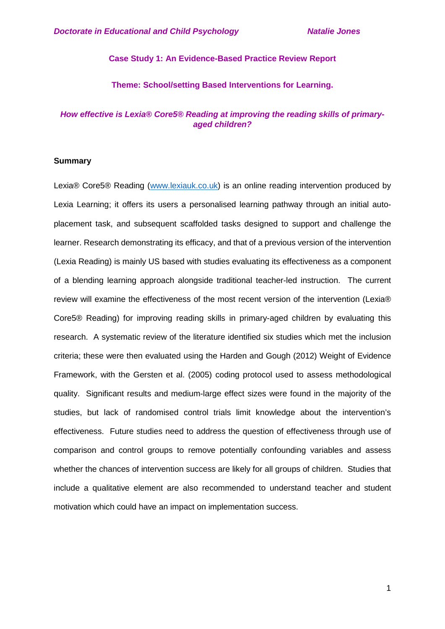## **Case Study 1: An Evidence-Based Practice Review Report**

## **Theme: School/setting Based Interventions for Learning.**

# *How effective is Lexia® Core5® Reading at improving the reading skills of primaryaged children?*

## **Summary**

Lexia® Core5® Reading [\(www.lexiauk.co.uk\)](http://www.lexiauk.co.uk/) is an online reading intervention produced by Lexia Learning; it offers its users a personalised learning pathway through an initial autoplacement task, and subsequent scaffolded tasks designed to support and challenge the learner. Research demonstrating its efficacy, and that of a previous version of the intervention (Lexia Reading) is mainly US based with studies evaluating its effectiveness as a component of a blending learning approach alongside traditional teacher-led instruction. The current review will examine the effectiveness of the most recent version of the intervention (Lexia® Core5® Reading) for improving reading skills in primary-aged children by evaluating this research. A systematic review of the literature identified six studies which met the inclusion criteria; these were then evaluated using the Harden and Gough (2012) Weight of Evidence Framework, with the Gersten et al. (2005) coding protocol used to assess methodological quality. Significant results and medium-large effect sizes were found in the majority of the studies, but lack of randomised control trials limit knowledge about the intervention's effectiveness. Future studies need to address the question of effectiveness through use of comparison and control groups to remove potentially confounding variables and assess whether the chances of intervention success are likely for all groups of children. Studies that include a qualitative element are also recommended to understand teacher and student motivation which could have an impact on implementation success.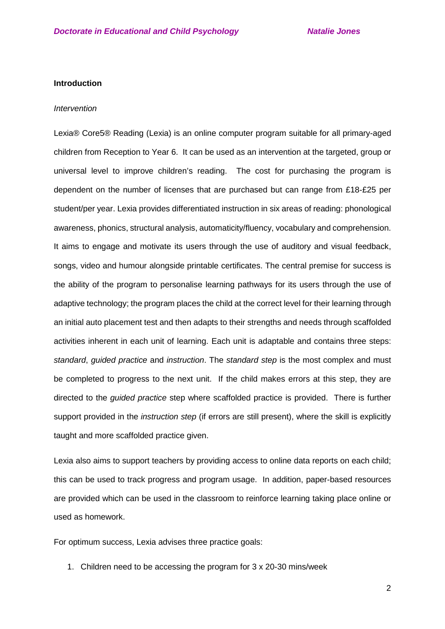### **Introduction**

#### *Intervention*

Lexia® Core5® Reading (Lexia) is an online computer program suitable for all primary-aged children from Reception to Year 6. It can be used as an intervention at the targeted, group or universal level to improve children's reading. The cost for purchasing the program is dependent on the number of licenses that are purchased but can range from £18-£25 per student/per year. Lexia provides differentiated instruction in six areas of reading: phonological awareness, phonics, structural analysis, automaticity/fluency, vocabulary and comprehension. It aims to engage and motivate its users through the use of auditory and visual feedback, songs, video and humour alongside printable certificates. The central premise for success is the ability of the program to personalise learning pathways for its users through the use of adaptive technology; the program places the child at the correct level for their learning through an initial auto placement test and then adapts to their strengths and needs through scaffolded activities inherent in each unit of learning. Each unit is adaptable and contains three steps: *standard*, *guided practice* and *instruction*. The *standard step* is the most complex and must be completed to progress to the next unit. If the child makes errors at this step, they are directed to the *guided practice* step where scaffolded practice is provided. There is further support provided in the *instruction step* (if errors are still present), where the skill is explicitly taught and more scaffolded practice given.

Lexia also aims to support teachers by providing access to online data reports on each child; this can be used to track progress and program usage. In addition, paper-based resources are provided which can be used in the classroom to reinforce learning taking place online or used as homework.

For optimum success, Lexia advises three practice goals:

1. Children need to be accessing the program for 3 x 20-30 mins/week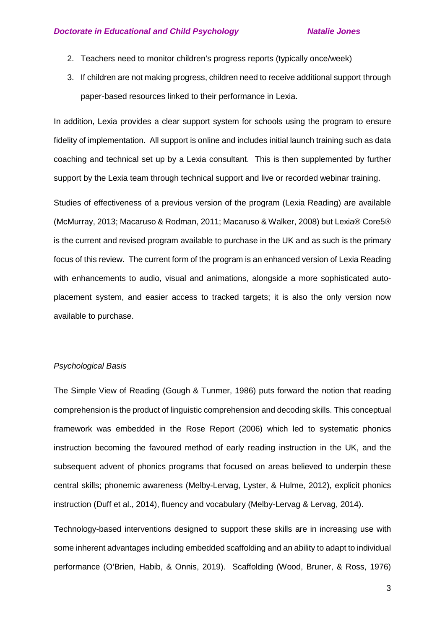- 2. Teachers need to monitor children's progress reports (typically once/week)
- 3. If children are not making progress, children need to receive additional support through paper-based resources linked to their performance in Lexia.

In addition, Lexia provides a clear support system for schools using the program to ensure fidelity of implementation. All support is online and includes initial launch training such as data coaching and technical set up by a Lexia consultant. This is then supplemented by further support by the Lexia team through technical support and live or recorded webinar training.

Studies of effectiveness of a previous version of the program (Lexia Reading) are available (McMurray, 2013; Macaruso & Rodman, 2011; Macaruso & Walker, 2008) but Lexia® Core5® is the current and revised program available to purchase in the UK and as such is the primary focus of this review. The current form of the program is an enhanced version of Lexia Reading with enhancements to audio, visual and animations, alongside a more sophisticated autoplacement system, and easier access to tracked targets; it is also the only version now available to purchase.

## *Psychological Basis*

The Simple View of Reading (Gough & Tunmer, 1986) puts forward the notion that reading comprehension is the product of linguistic comprehension and decoding skills. This conceptual framework was embedded in the Rose Report (2006) which led to systematic phonics instruction becoming the favoured method of early reading instruction in the UK, and the subsequent advent of phonics programs that focused on areas believed to underpin these central skills; phonemic awareness (Melby-Lervag, Lyster, & Hulme, 2012), explicit phonics instruction (Duff et al., 2014), fluency and vocabulary (Melby-Lervag & Lervag, 2014).

Technology-based interventions designed to support these skills are in increasing use with some inherent advantages including embedded scaffolding and an ability to adapt to individual performance (O'Brien, Habib, & Onnis, 2019). Scaffolding (Wood, Bruner, & Ross, 1976)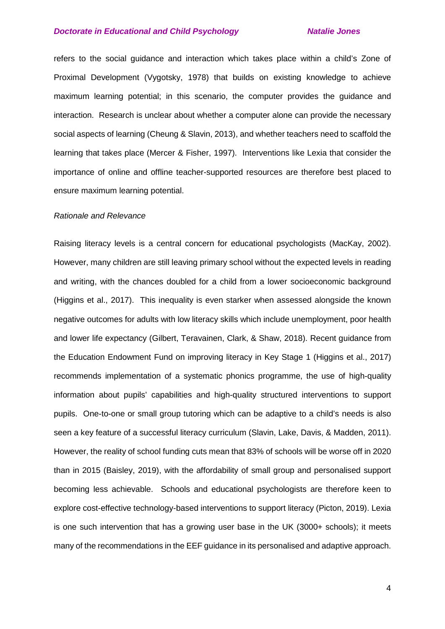refers to the social guidance and interaction which takes place within a child's Zone of Proximal Development (Vygotsky, 1978) that builds on existing knowledge to achieve maximum learning potential; in this scenario, the computer provides the guidance and interaction. Research is unclear about whether a computer alone can provide the necessary social aspects of learning (Cheung & Slavin, 2013), and whether teachers need to scaffold the learning that takes place (Mercer & Fisher, 1997). Interventions like Lexia that consider the importance of online and offline teacher-supported resources are therefore best placed to ensure maximum learning potential.

#### *Rationale and Relevance*

Raising literacy levels is a central concern for educational psychologists (MacKay, 2002). However, many children are still leaving primary school without the expected levels in reading and writing, with the chances doubled for a child from a lower socioeconomic background (Higgins et al., 2017). This inequality is even starker when assessed alongside the known negative outcomes for adults with low literacy skills which include unemployment, poor health and lower life expectancy (Gilbert, Teravainen, Clark, & Shaw, 2018). Recent guidance from the Education Endowment Fund on improving literacy in Key Stage 1 (Higgins et al., 2017) recommends implementation of a systematic phonics programme, the use of high-quality information about pupils' capabilities and high-quality structured interventions to support pupils. One-to-one or small group tutoring which can be adaptive to a child's needs is also seen a key feature of a successful literacy curriculum (Slavin, Lake, Davis, & Madden, 2011). However, the reality of school funding cuts mean that 83% of schools will be worse off in 2020 than in 2015 (Baisley, 2019), with the affordability of small group and personalised support becoming less achievable. Schools and educational psychologists are therefore keen to explore cost-effective technology-based interventions to support literacy (Picton, 2019). Lexia is one such intervention that has a growing user base in the UK (3000+ schools); it meets many of the recommendations in the EEF guidance in its personalised and adaptive approach.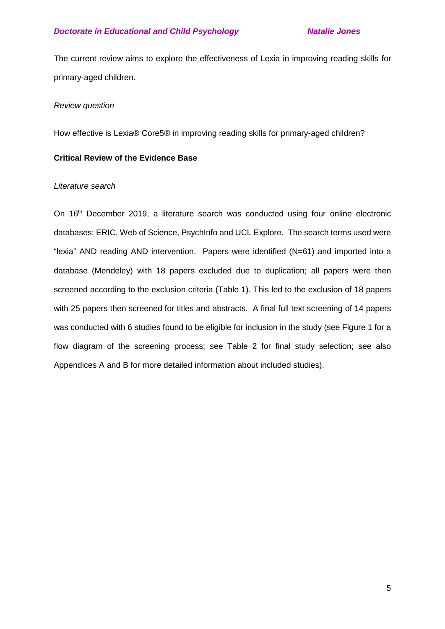The current review aims to explore the effectiveness of Lexia in improving reading skills for primary-aged children.

## *Review question*

How effective is Lexia® Core5® in improving reading skills for primary-aged children?

## **Critical Review of the Evidence Base**

## *Literature search*

On 16<sup>th</sup> December 2019, a literature search was conducted using four online electronic databases: ERIC, Web of Science, PsychInfo and UCL Explore. The search terms used were "lexia" AND reading AND intervention. Papers were identified (N=61) and imported into a database (Mendeley) with 18 papers excluded due to duplication; all papers were then screened according to the exclusion criteria (Table 1). This led to the exclusion of 18 papers with 25 papers then screened for titles and abstracts. A final full text screening of 14 papers was conducted with 6 studies found to be eligible for inclusion in the study (see Figure 1 for a flow diagram of the screening process; see Table 2 for final study selection; see also Appendices A and B for more detailed information about included studies).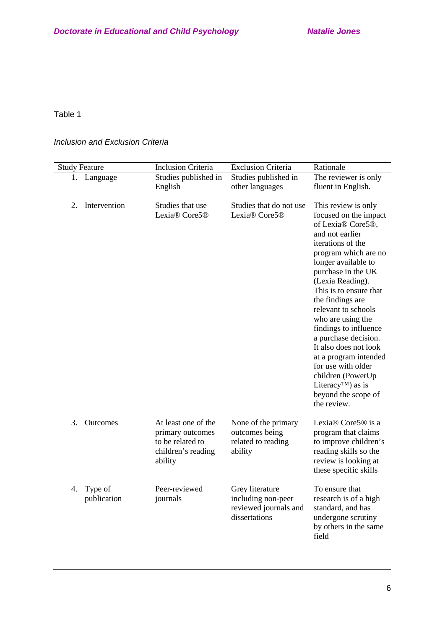# Table 1

# *Inclusion and Exclusion Criteria*

| <b>Study Feature</b>         | <b>Inclusion Criteria</b>                                                                    | <b>Exclusion Criteria</b>                                                       | Rationale                                                                                                                                                                                                                                                                                                                                                                                                                                                                                           |
|------------------------------|----------------------------------------------------------------------------------------------|---------------------------------------------------------------------------------|-----------------------------------------------------------------------------------------------------------------------------------------------------------------------------------------------------------------------------------------------------------------------------------------------------------------------------------------------------------------------------------------------------------------------------------------------------------------------------------------------------|
| Language<br>1.               | Studies published in                                                                         | Studies published in                                                            | The reviewer is only                                                                                                                                                                                                                                                                                                                                                                                                                                                                                |
|                              | English                                                                                      | other languages                                                                 | fluent in English.                                                                                                                                                                                                                                                                                                                                                                                                                                                                                  |
| Intervention<br>2.           | Studies that use<br>Lexia® Core5®                                                            | Studies that do not use<br>Lexia® Core5®                                        | This review is only<br>focused on the impact<br>of Lexia® Core5®,<br>and not earlier<br>iterations of the<br>program which are no<br>longer available to<br>purchase in the UK<br>(Lexia Reading).<br>This is to ensure that<br>the findings are<br>relevant to schools<br>who are using the<br>findings to influence<br>a purchase decision.<br>It also does not look<br>at a program intended<br>for use with older<br>children (PowerUp<br>Literacy <sup>TM</sup> ) as is<br>beyond the scope of |
|                              |                                                                                              |                                                                                 | the review.                                                                                                                                                                                                                                                                                                                                                                                                                                                                                         |
| 3.<br>Outcomes               | At least one of the<br>primary outcomes<br>to be related to<br>children's reading<br>ability | None of the primary<br>outcomes being<br>related to reading<br>ability          | Lexia® Core5® is a<br>program that claims<br>to improve children's<br>reading skills so the<br>review is looking at<br>these specific skills                                                                                                                                                                                                                                                                                                                                                        |
| Type of<br>4.<br>publication | Peer-reviewed<br>journals                                                                    | Grey literature<br>including non-peer<br>reviewed journals and<br>dissertations | To ensure that<br>research is of a high<br>standard, and has<br>undergone scrutiny<br>by others in the same<br>field                                                                                                                                                                                                                                                                                                                                                                                |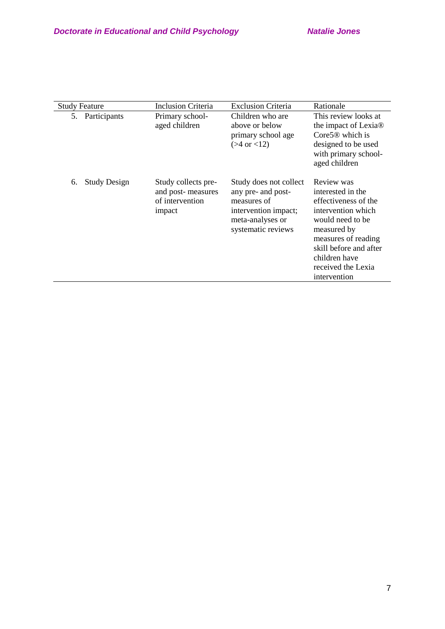| <b>Study Feature</b>      | Inclusion Criteria                                                    | <b>Exclusion Criteria</b>                                                                                                     | Rationale                                                                                                                                                                                                                |
|---------------------------|-----------------------------------------------------------------------|-------------------------------------------------------------------------------------------------------------------------------|--------------------------------------------------------------------------------------------------------------------------------------------------------------------------------------------------------------------------|
| 5. Participants           | Primary school-<br>aged children                                      | Children who are<br>above or below<br>primary school age<br>$( > 4 \text{ or } < 12)$                                         | This review looks at<br>the impact of Lexia <sup>®</sup><br>$Core5@$ which is<br>designed to be used<br>with primary school-<br>aged children                                                                            |
| <b>Study Design</b><br>6. | Study collects pre-<br>and post-measures<br>of intervention<br>impact | Study does not collect<br>any pre- and post-<br>measures of<br>intervention impact;<br>meta-analyses or<br>systematic reviews | Review was<br>interested in the<br>effectiveness of the<br>intervention which<br>would need to be<br>measured by<br>measures of reading<br>skill before and after<br>children have<br>received the Lexia<br>intervention |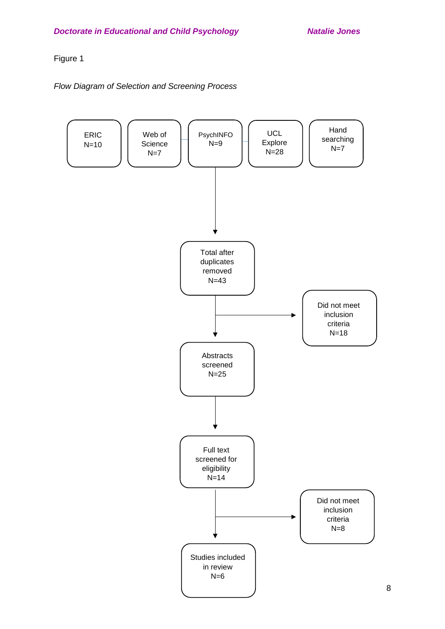# Figure 1

# *Flow Diagram of Selection and Screening Process*

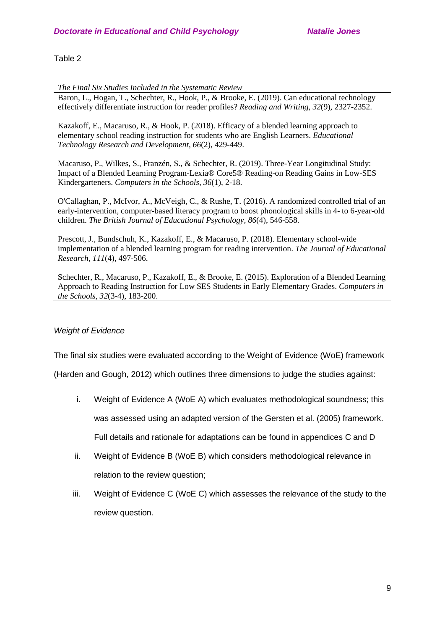## Table 2

*The Final Six Studies Included in the Systematic Review*

Baron, L., Hogan, T., Schechter, R., Hook, P., & Brooke, E. (2019). Can educational technology effectively differentiate instruction for reader profiles? *Reading and Writing, 32*(9), 2327-2352.

Kazakoff, E., Macaruso, R., & Hook, P. (2018). Efficacy of a blended learning approach to elementary school reading instruction for students who are English Learners. *Educational Technology Research and Development, 66*(2), 429-449.

Macaruso, P., Wilkes, S., Franzén, S., & Schechter, R. (2019). Three-Year Longitudinal Study: Impact of a Blended Learning Program-Lexia® Core5® Reading-on Reading Gains in Low-SES Kindergarteners. *Computers in the Schools, 36*(1), 2-18.

O'Callaghan, P., McIvor, A., McVeigh, C., & Rushe, T. (2016). A randomized controlled trial of an early-intervention, computer-based literacy program to boost phonological skills in 4- to 6-year-old children. *The British Journal of Educational Psychology, 86*(4), 546-558.

Prescott, J., Bundschuh, K., Kazakoff, E., & Macaruso, P. (2018). Elementary school-wide implementation of a blended learning program for reading intervention. *The Journal of Educational Research, 111*(4), 497-506.

Schechter, R., Macaruso, P., Kazakoff, E., & Brooke, E. (2015). Exploration of a Blended Learning Approach to Reading Instruction for Low SES Students in Early Elementary Grades. *Computers in the Schools, 32*(3-4), 183-200.

# *Weight of Evidence*

The final six studies were evaluated according to the Weight of Evidence (WoE) framework

(Harden and Gough, 2012) which outlines three dimensions to judge the studies against:

- i. Weight of Evidence A (WoE A) which evaluates methodological soundness; this was assessed using an adapted version of the Gersten et al. (2005) framework. Full details and rationale for adaptations can be found in appendices C and D
- ii. Weight of Evidence B (WoE B) which considers methodological relevance in relation to the review question;
- iii. Weight of Evidence C (WoE C) which assesses the relevance of the study to the review question.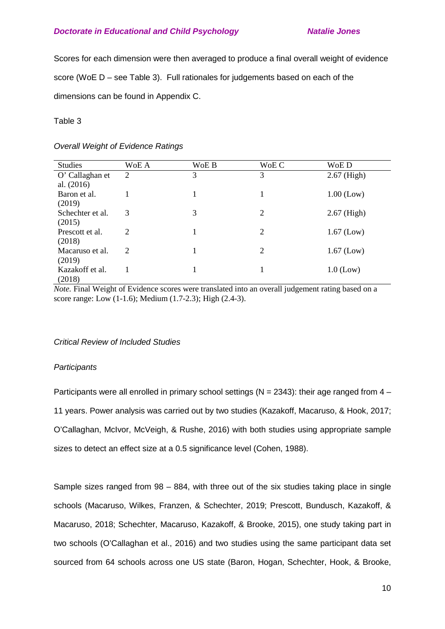Scores for each dimension were then averaged to produce a final overall weight of evidence score (WoE D – see Table 3). Full rationales for judgements based on each of the dimensions can be found in Appendix C.

# Table 3

# *Overall Weight of Evidence Ratings*

| <b>Studies</b>   | WoE A | WoE B | WoE C          | WoE D         |
|------------------|-------|-------|----------------|---------------|
| O' Callaghan et  | 2     | 3     | 3              | $2.67$ (High) |
| al. $(2016)$     |       |       |                |               |
| Baron et al.     |       |       | 1              | $1.00$ (Low)  |
| (2019)           |       |       |                |               |
| Schechter et al. | 3     | 3     | $\overline{2}$ | $2.67$ (High) |
| (2015)           |       |       |                |               |
| Prescott et al.  | 2     |       | $\overline{2}$ | $1.67$ (Low)  |
| (2018)           |       |       |                |               |
| Macaruso et al.  | 2     |       | $\overline{2}$ | $1.67$ (Low)  |
| (2019)           |       |       |                |               |
| Kazakoff et al.  |       |       | 1              | $1.0$ (Low)   |
| (2018)           |       |       |                |               |

*Note.* Final Weight of Evidence scores were translated into an overall judgement rating based on a score range: Low (1-1.6); Medium (1.7-2.3); High (2.4-3).

# *Critical Review of Included Studies*

# *Participants*

Participants were all enrolled in primary school settings ( $N = 2343$ ): their age ranged from  $4 -$ 11 years. Power analysis was carried out by two studies (Kazakoff, Macaruso, & Hook, 2017; O'Callaghan, McIvor, McVeigh, & Rushe, 2016) with both studies using appropriate sample sizes to detect an effect size at a 0.5 significance level (Cohen, 1988).

Sample sizes ranged from 98 – 884, with three out of the six studies taking place in single schools (Macaruso, Wilkes, Franzen, & Schechter, 2019; Prescott, Bundusch, Kazakoff, & Macaruso, 2018; Schechter, Macaruso, Kazakoff, & Brooke, 2015), one study taking part in two schools (O'Callaghan et al., 2016) and two studies using the same participant data set sourced from 64 schools across one US state (Baron, Hogan, Schechter, Hook, & Brooke,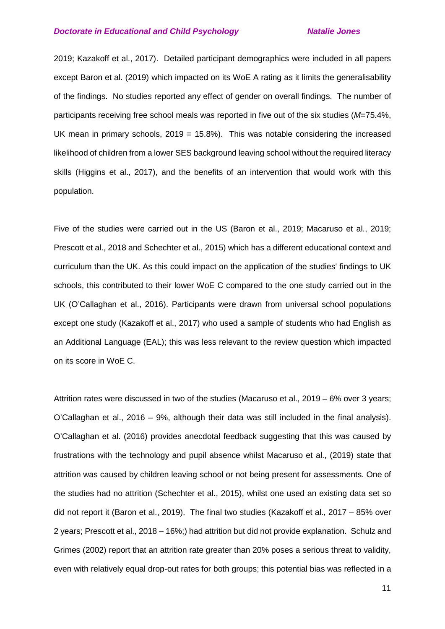2019; Kazakoff et al., 2017). Detailed participant demographics were included in all papers except Baron et al. (2019) which impacted on its WoE A rating as it limits the generalisability of the findings. No studies reported any effect of gender on overall findings. The number of participants receiving free school meals was reported in five out of the six studies (*M*=75.4%, UK mean in primary schools,  $2019 = 15.8\%$ ). This was notable considering the increased likelihood of children from a lower SES background leaving school without the required literacy skills (Higgins et al., 2017), and the benefits of an intervention that would work with this population.

Five of the studies were carried out in the US (Baron et al., 2019; Macaruso et al., 2019; Prescott et al., 2018 and Schechter et al., 2015) which has a different educational context and curriculum than the UK. As this could impact on the application of the studies' findings to UK schools, this contributed to their lower WoE C compared to the one study carried out in the UK (O'Callaghan et al., 2016). Participants were drawn from universal school populations except one study (Kazakoff et al., 2017) who used a sample of students who had English as an Additional Language (EAL); this was less relevant to the review question which impacted on its score in WoE C.

Attrition rates were discussed in two of the studies (Macaruso et al., 2019 – 6% over 3 years; O'Callaghan et al., 2016 – 9%, although their data was still included in the final analysis). O'Callaghan et al. (2016) provides anecdotal feedback suggesting that this was caused by frustrations with the technology and pupil absence whilst Macaruso et al., (2019) state that attrition was caused by children leaving school or not being present for assessments. One of the studies had no attrition (Schechter et al., 2015), whilst one used an existing data set so did not report it (Baron et al., 2019). The final two studies (Kazakoff et al., 2017 – 85% over 2 years; Prescott et al., 2018 – 16%;) had attrition but did not provide explanation. Schulz and Grimes (2002) report that an attrition rate greater than 20% poses a serious threat to validity, even with relatively equal drop-out rates for both groups; this potential bias was reflected in a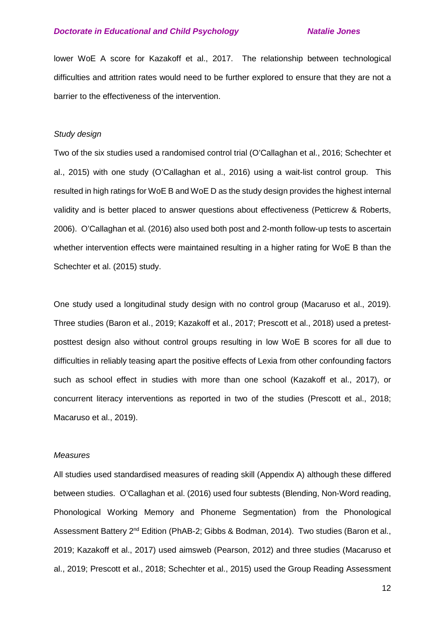lower WoE A score for Kazakoff et al., 2017. The relationship between technological difficulties and attrition rates would need to be further explored to ensure that they are not a barrier to the effectiveness of the intervention.

## *Study design*

Two of the six studies used a randomised control trial (O'Callaghan et al., 2016; Schechter et al., 2015) with one study (O'Callaghan et al., 2016) using a wait-list control group. This resulted in high ratings for WoE B and WoE D as the study design provides the highest internal validity and is better placed to answer questions about effectiveness (Petticrew & Roberts, 2006). O'Callaghan et al. (2016) also used both post and 2-month follow-up tests to ascertain whether intervention effects were maintained resulting in a higher rating for WoE B than the Schechter et al. (2015) study.

One study used a longitudinal study design with no control group (Macaruso et al., 2019). Three studies (Baron et al., 2019; Kazakoff et al., 2017; Prescott et al., 2018) used a pretestposttest design also without control groups resulting in low WoE B scores for all due to difficulties in reliably teasing apart the positive effects of Lexia from other confounding factors such as school effect in studies with more than one school (Kazakoff et al., 2017), or concurrent literacy interventions as reported in two of the studies (Prescott et al., 2018; Macaruso et al., 2019).

## *Measures*

All studies used standardised measures of reading skill (Appendix A) although these differed between studies. O'Callaghan et al. (2016) used four subtests (Blending, Non-Word reading, Phonological Working Memory and Phoneme Segmentation) from the Phonological Assessment Battery 2<sup>nd</sup> Edition (PhAB-2; Gibbs & Bodman, 2014). Two studies (Baron et al., 2019; Kazakoff et al., 2017) used aimsweb (Pearson, 2012) and three studies (Macaruso et al., 2019; Prescott et al., 2018; Schechter et al., 2015) used the Group Reading Assessment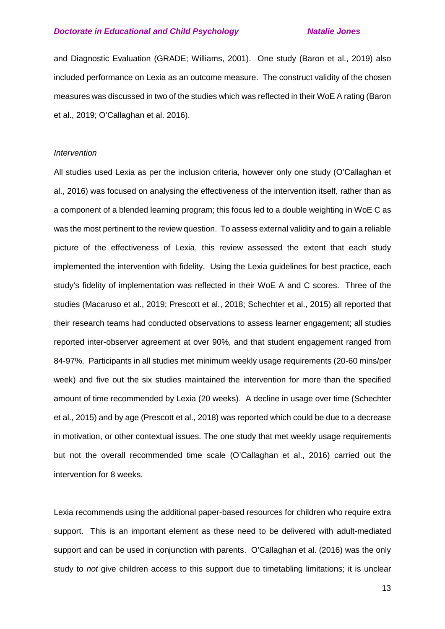and Diagnostic Evaluation (GRADE; Williams, 2001). One study (Baron et al., 2019) also included performance on Lexia as an outcome measure. The construct validity of the chosen measures was discussed in two of the studies which was reflected in their WoE A rating (Baron et al., 2019; O'Callaghan et al. 2016).

#### *Intervention*

All studies used Lexia as per the inclusion criteria, however only one study (O'Callaghan et al., 2016) was focused on analysing the effectiveness of the intervention itself, rather than as a component of a blended learning program; this focus led to a double weighting in WoE C as was the most pertinent to the review question. To assess external validity and to gain a reliable picture of the effectiveness of Lexia, this review assessed the extent that each study implemented the intervention with fidelity. Using the Lexia guidelines for best practice, each study's fidelity of implementation was reflected in their WoE A and C scores. Three of the studies (Macaruso et al., 2019; Prescott et al., 2018; Schechter et al., 2015) all reported that their research teams had conducted observations to assess learner engagement; all studies reported inter-observer agreement at over 90%, and that student engagement ranged from 84-97%. Participants in all studies met minimum weekly usage requirements (20-60 mins/per week) and five out the six studies maintained the intervention for more than the specified amount of time recommended by Lexia (20 weeks). A decline in usage over time (Schechter et al., 2015) and by age (Prescott et al., 2018) was reported which could be due to a decrease in motivation, or other contextual issues. The one study that met weekly usage requirements but not the overall recommended time scale (O'Callaghan et al., 2016) carried out the intervention for 8 weeks.

Lexia recommends using the additional paper-based resources for children who require extra support. This is an important element as these need to be delivered with adult-mediated support and can be used in conjunction with parents. O'Callaghan et al. (2016) was the only study to *not* give children access to this support due to timetabling limitations; it is unclear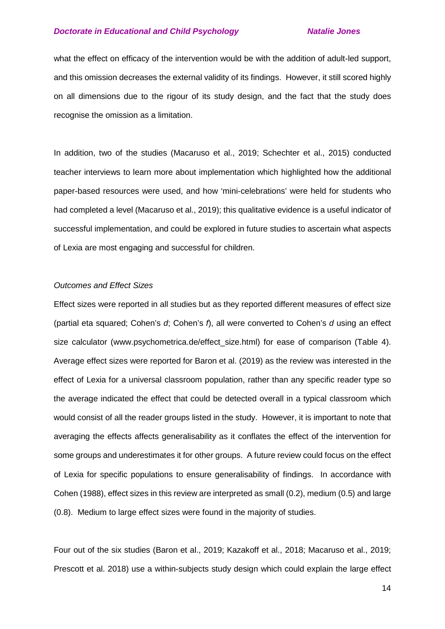what the effect on efficacy of the intervention would be with the addition of adult-led support, and this omission decreases the external validity of its findings. However, it still scored highly on all dimensions due to the rigour of its study design, and the fact that the study does recognise the omission as a limitation.

In addition, two of the studies (Macaruso et al., 2019; Schechter et al., 2015) conducted teacher interviews to learn more about implementation which highlighted how the additional paper-based resources were used, and how 'mini-celebrations' were held for students who had completed a level (Macaruso et al., 2019); this qualitative evidence is a useful indicator of successful implementation, and could be explored in future studies to ascertain what aspects of Lexia are most engaging and successful for children.

## *Outcomes and Effect Sizes*

Effect sizes were reported in all studies but as they reported different measures of effect size (partial eta squared; Cohen's *d*; Cohen's *f*), all were converted to Cohen's *d* using an effect size calculator (www.psychometrica.de/effect size.html) for ease of comparison (Table 4). Average effect sizes were reported for Baron et al. (2019) as the review was interested in the effect of Lexia for a universal classroom population, rather than any specific reader type so the average indicated the effect that could be detected overall in a typical classroom which would consist of all the reader groups listed in the study. However, it is important to note that averaging the effects affects generalisability as it conflates the effect of the intervention for some groups and underestimates it for other groups. A future review could focus on the effect of Lexia for specific populations to ensure generalisability of findings. In accordance with Cohen (1988), effect sizes in this review are interpreted as small (0.2), medium (0.5) and large (0.8). Medium to large effect sizes were found in the majority of studies.

Four out of the six studies (Baron et al., 2019; Kazakoff et al., 2018; Macaruso et al., 2019; Prescott et al. 2018) use a within-subjects study design which could explain the large effect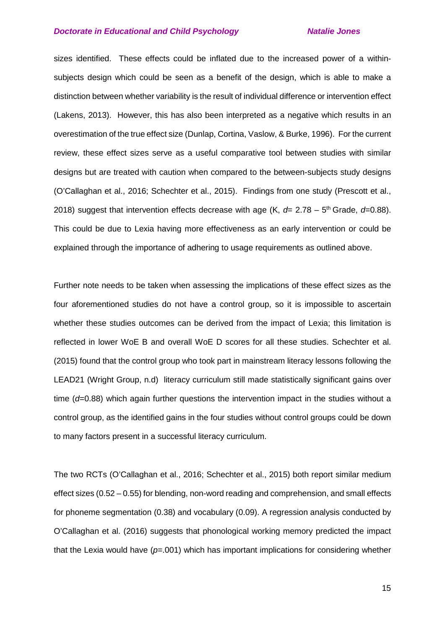sizes identified. These effects could be inflated due to the increased power of a withinsubjects design which could be seen as a benefit of the design, which is able to make a distinction between whether variability is the result of individual difference or intervention effect (Lakens, 2013). However, this has also been interpreted as a negative which results in an overestimation of the true effect size (Dunlap, Cortina, Vaslow, & Burke, 1996). For the current review, these effect sizes serve as a useful comparative tool between studies with similar designs but are treated with caution when compared to the between-subjects study designs (O'Callaghan et al., 2016; Schechter et al., 2015). Findings from one study (Prescott et al., 2018) suggest that intervention effects decrease with age  $(K, d= 2.78 - 5<sup>th</sup> Grade, d= 0.88)$ . This could be due to Lexia having more effectiveness as an early intervention or could be explained through the importance of adhering to usage requirements as outlined above.

Further note needs to be taken when assessing the implications of these effect sizes as the four aforementioned studies do not have a control group, so it is impossible to ascertain whether these studies outcomes can be derived from the impact of Lexia; this limitation is reflected in lower WoE B and overall WoE D scores for all these studies. Schechter et al. (2015) found that the control group who took part in mainstream literacy lessons following the LEAD21 (Wright Group, n.d) literacy curriculum still made statistically significant gains over time (*d*=0.88) which again further questions the intervention impact in the studies without a control group, as the identified gains in the four studies without control groups could be down to many factors present in a successful literacy curriculum.

The two RCTs (O'Callaghan et al., 2016; Schechter et al., 2015) both report similar medium effect sizes (0.52 – 0.55) for blending, non-word reading and comprehension, and small effects for phoneme segmentation (0.38) and vocabulary (0.09). A regression analysis conducted by O'Callaghan et al. (2016) suggests that phonological working memory predicted the impact that the Lexia would have (*p*=.001) which has important implications for considering whether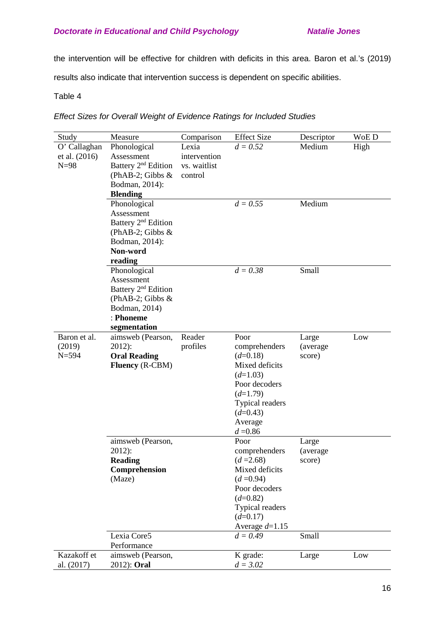the intervention will be effective for children with deficits in this area. Baron et al.'s (2019)

results also indicate that intervention success is dependent on specific abilities.

# Table 4

## *Effect Sizes for Overall Weight of Evidence Ratings for Included Studies*

| Study         | Measure                           | Comparison   | <b>Effect Size</b> | Descriptor         | WoE D |
|---------------|-----------------------------------|--------------|--------------------|--------------------|-------|
| O' Callaghan  | Phonological                      | Lexia        | $d = 0.52$         | Medium             | High  |
| et al. (2016) | Assessment                        | intervention |                    |                    |       |
| $N=98$        | Battery 2 <sup>nd</sup> Edition   | vs. waitlist |                    |                    |       |
|               | (PhAB-2; Gibbs $&$                | control      |                    |                    |       |
|               | Bodman, 2014):                    |              |                    |                    |       |
|               | <b>Blending</b>                   |              |                    |                    |       |
|               | Phonological                      |              | $d = 0.55$         | Medium             |       |
|               | Assessment                        |              |                    |                    |       |
|               | Battery 2 <sup>nd</sup> Edition   |              |                    |                    |       |
|               | (PhAB-2; Gibbs $&$                |              |                    |                    |       |
|               | Bodman, 2014):                    |              |                    |                    |       |
|               | Non-word                          |              |                    |                    |       |
|               | reading                           |              |                    |                    |       |
|               | Phonological                      |              | $d = 0.38$         | Small              |       |
|               | Assessment                        |              |                    |                    |       |
|               | Battery 2 <sup>nd</sup> Edition   |              |                    |                    |       |
|               | (PhAB-2; Gibbs $&$                |              |                    |                    |       |
|               | Bodman, 2014)<br>: Phoneme        |              |                    |                    |       |
|               |                                   |              |                    |                    |       |
| Baron et al.  | segmentation<br>aimsweb (Pearson, | Reader       | Poor               |                    | Low   |
| (2019)        | $2012$ :                          | profiles     | comprehenders      | Large<br>(average) |       |
| $N = 594$     | <b>Oral Reading</b>               |              | $(d=0.18)$         | score)             |       |
|               | <b>Fluency</b> (R-CBM)            |              | Mixed deficits     |                    |       |
|               |                                   |              | $(d=1.03)$         |                    |       |
|               |                                   |              | Poor decoders      |                    |       |
|               |                                   |              | $(d=1.79)$         |                    |       |
|               |                                   |              | Typical readers    |                    |       |
|               |                                   |              | $(d=0.43)$         |                    |       |
|               |                                   |              | Average            |                    |       |
|               |                                   |              | $d = 0.86$         |                    |       |
|               | aimsweb (Pearson,                 |              | Poor               | Large              |       |
|               | $2012$ :                          |              | comprehenders      | (average           |       |
|               | <b>Reading</b>                    |              | $(d = 2.68)$       | score)             |       |
|               | Comprehension                     |              | Mixed deficits     |                    |       |
|               | (Maze)                            |              | $(d = 0.94)$       |                    |       |
|               |                                   |              | Poor decoders      |                    |       |
|               |                                   |              | $(d=0.82)$         |                    |       |
|               |                                   |              | Typical readers    |                    |       |
|               |                                   |              | $(d=0.17)$         |                    |       |
|               |                                   |              | Average $d=1.15$   |                    |       |
|               | Lexia Core5                       |              | $d = 0.49$         | Small              |       |
|               | Performance                       |              |                    |                    |       |
| Kazakoff et   | aimsweb (Pearson,                 |              | K grade:           | Large              | Low   |
| al. (2017)    | 2012): Oral                       |              | $d = 3.02$         |                    |       |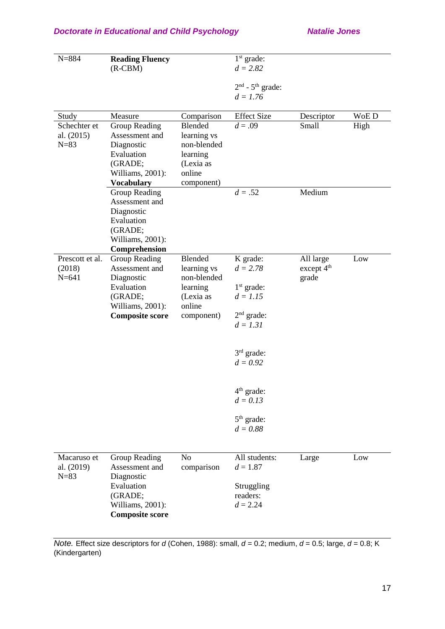| $N = 884$           | <b>Reading Fluency</b>          |                            | $1st$ grade:           |                                     |      |
|---------------------|---------------------------------|----------------------------|------------------------|-------------------------------------|------|
|                     | $(R-CBM)$                       |                            | $d = 2.82$             |                                     |      |
|                     |                                 |                            |                        |                                     |      |
|                     |                                 |                            | $2nd$ - $5th$ grade:   |                                     |      |
|                     |                                 |                            | $d = 1.76$             |                                     |      |
| Study               | Measure                         | Comparison                 | <b>Effect Size</b>     | Descriptor                          | WoED |
| Schechter et        | Group Reading                   | Blended                    | $d = .09$              | Small                               | High |
| al. (2015)          | Assessment and                  | learning vs                |                        |                                     |      |
| $N=83$              | Diagnostic                      | non-blended                |                        |                                     |      |
|                     | Evaluation                      | learning                   |                        |                                     |      |
|                     | (GRADE;                         | (Lexia as                  |                        |                                     |      |
|                     | Williams, 2001):                | online                     |                        |                                     |      |
|                     | <b>Vocabulary</b>               | component)                 |                        |                                     |      |
|                     | <b>Group Reading</b>            |                            | $d = .52$              | Medium                              |      |
|                     | Assessment and                  |                            |                        |                                     |      |
|                     | Diagnostic                      |                            |                        |                                     |      |
|                     | Evaluation                      |                            |                        |                                     |      |
|                     | (GRADE;                         |                            |                        |                                     |      |
|                     | Williams, 2001):                |                            |                        |                                     |      |
|                     | Comprehension                   |                            |                        |                                     |      |
| Prescott et al.     | Group Reading<br>Assessment and | Blended                    | K grade:<br>$d = 2.78$ | All large<br>except 4 <sup>th</sup> | Low  |
| (2018)<br>$N = 641$ | Diagnostic                      | learning vs<br>non-blended |                        | grade                               |      |
|                     | Evaluation                      | learning                   | $1st$ grade:           |                                     |      |
|                     | (GRADE;                         | (Lexia as                  | $d = 1.15$             |                                     |      |
|                     | Williams, 2001):                | online                     |                        |                                     |      |
|                     | <b>Composite score</b>          | component)                 | $2nd$ grade:           |                                     |      |
|                     |                                 |                            | $d = 1.31$             |                                     |      |
|                     |                                 |                            |                        |                                     |      |
|                     |                                 |                            | $3rd$ grade:           |                                     |      |
|                     |                                 |                            | $d = 0.92$             |                                     |      |
|                     |                                 |                            |                        |                                     |      |
|                     |                                 |                            |                        |                                     |      |
|                     |                                 |                            | $4th$ grade:           |                                     |      |
|                     |                                 |                            | $d = 0.13$             |                                     |      |
|                     |                                 |                            | $5th$ grade:           |                                     |      |
|                     |                                 |                            | $d = 0.88$             |                                     |      |
|                     |                                 |                            |                        |                                     |      |
|                     |                                 |                            |                        |                                     |      |
| Macaruso et         | Group Reading                   | No                         | All students:          | Large                               | Low  |
| al. (2019)          | Assessment and                  | comparison                 | $d = 1.87$             |                                     |      |
| $N = 83$            | Diagnostic                      |                            |                        |                                     |      |
|                     | Evaluation                      |                            | Struggling             |                                     |      |
|                     | (GRADE;                         |                            | readers:               |                                     |      |
|                     | Williams, 2001):                |                            | $d = 2.24$             |                                     |      |
|                     | <b>Composite score</b>          |                            |                        |                                     |      |

*Note.* Effect size descriptors for *d* (Cohen, 1988): small, *d* = 0.2; medium, *d* = 0.5; large, *d* = 0.8; K (Kindergarten)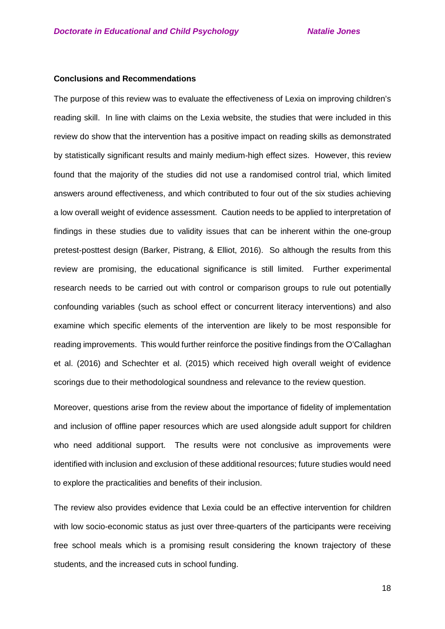### **Conclusions and Recommendations**

The purpose of this review was to evaluate the effectiveness of Lexia on improving children's reading skill. In line with claims on the Lexia website, the studies that were included in this review do show that the intervention has a positive impact on reading skills as demonstrated by statistically significant results and mainly medium-high effect sizes. However, this review found that the majority of the studies did not use a randomised control trial, which limited answers around effectiveness, and which contributed to four out of the six studies achieving a low overall weight of evidence assessment. Caution needs to be applied to interpretation of findings in these studies due to validity issues that can be inherent within the one-group pretest-posttest design (Barker, Pistrang, & Elliot, 2016). So although the results from this review are promising, the educational significance is still limited. Further experimental research needs to be carried out with control or comparison groups to rule out potentially confounding variables (such as school effect or concurrent literacy interventions) and also examine which specific elements of the intervention are likely to be most responsible for reading improvements. This would further reinforce the positive findings from the O'Callaghan et al. (2016) and Schechter et al. (2015) which received high overall weight of evidence scorings due to their methodological soundness and relevance to the review question.

Moreover, questions arise from the review about the importance of fidelity of implementation and inclusion of offline paper resources which are used alongside adult support for children who need additional support. The results were not conclusive as improvements were identified with inclusion and exclusion of these additional resources; future studies would need to explore the practicalities and benefits of their inclusion.

The review also provides evidence that Lexia could be an effective intervention for children with low socio-economic status as just over three-quarters of the participants were receiving free school meals which is a promising result considering the known trajectory of these students, and the increased cuts in school funding.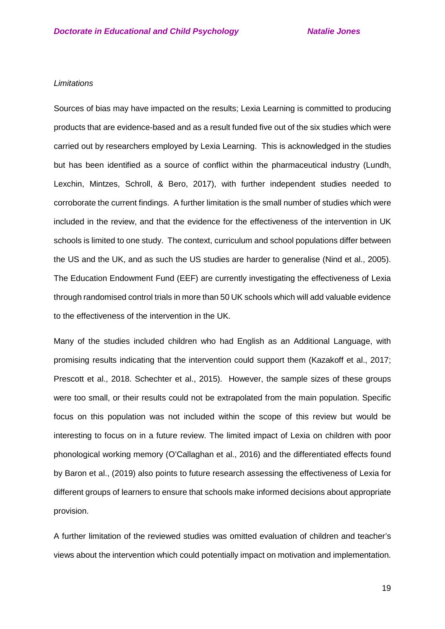### *Limitations*

Sources of bias may have impacted on the results; Lexia Learning is committed to producing products that are evidence-based and as a result funded five out of the six studies which were carried out by researchers employed by Lexia Learning. This is acknowledged in the studies but has been identified as a source of conflict within the pharmaceutical industry (Lundh, Lexchin, Mintzes, Schroll, & Bero, 2017), with further independent studies needed to corroborate the current findings. A further limitation is the small number of studies which were included in the review, and that the evidence for the effectiveness of the intervention in UK schools is limited to one study. The context, curriculum and school populations differ between the US and the UK, and as such the US studies are harder to generalise (Nind et al., 2005). The Education Endowment Fund (EEF) are currently investigating the effectiveness of Lexia through randomised control trials in more than 50 UK schools which will add valuable evidence to the effectiveness of the intervention in the UK.

Many of the studies included children who had English as an Additional Language, with promising results indicating that the intervention could support them (Kazakoff et al., 2017; Prescott et al., 2018. Schechter et al., 2015). However, the sample sizes of these groups were too small, or their results could not be extrapolated from the main population. Specific focus on this population was not included within the scope of this review but would be interesting to focus on in a future review. The limited impact of Lexia on children with poor phonological working memory (O'Callaghan et al., 2016) and the differentiated effects found by Baron et al., (2019) also points to future research assessing the effectiveness of Lexia for different groups of learners to ensure that schools make informed decisions about appropriate provision.

A further limitation of the reviewed studies was omitted evaluation of children and teacher's views about the intervention which could potentially impact on motivation and implementation.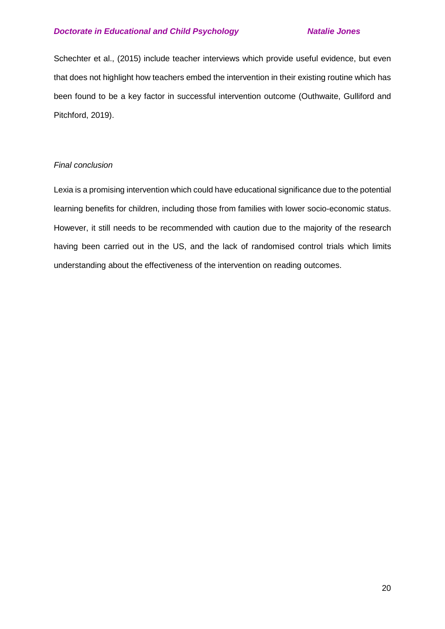Schechter et al., (2015) include teacher interviews which provide useful evidence, but even that does not highlight how teachers embed the intervention in their existing routine which has been found to be a key factor in successful intervention outcome (Outhwaite, Gulliford and Pitchford, 2019).

# *Final conclusion*

Lexia is a promising intervention which could have educational significance due to the potential learning benefits for children, including those from families with lower socio-economic status. However, it still needs to be recommended with caution due to the majority of the research having been carried out in the US, and the lack of randomised control trials which limits understanding about the effectiveness of the intervention on reading outcomes.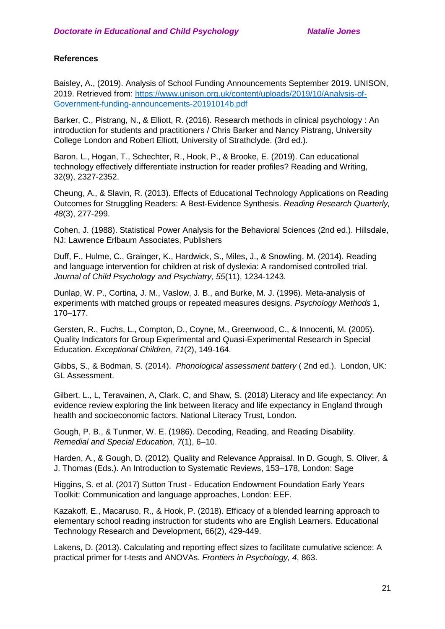# **References**

Baisley, A., (2019). Analysis of School Funding Announcements September 2019. UNISON, 2019. Retrieved from: [https://www.unison.org.uk/content/uploads/2019/10/Analysis-of-](https://www.unison.org.uk/content/uploads/2019/10/Analysis-of-Government-funding-announcements-20191014b.pdf)[Government-funding-announcements-20191014b.pdf](https://www.unison.org.uk/content/uploads/2019/10/Analysis-of-Government-funding-announcements-20191014b.pdf)

Barker, C., Pistrang, N., & Elliott, R. (2016). Research methods in clinical psychology : An introduction for students and practitioners / Chris Barker and Nancy Pistrang, University College London and Robert Elliott, University of Strathclyde. (3rd ed.).

Baron, L., Hogan, T., Schechter, R., Hook, P., & Brooke, E. (2019). Can educational technology effectively differentiate instruction for reader profiles? Reading and Writing, 32(9), 2327-2352.

Cheung, A., & Slavin, R. (2013). Effects of Educational Technology Applications on Reading Outcomes for Struggling Readers: A Best‐Evidence Synthesis. *Reading Research Quarterly, 48*(3), 277-299.

Cohen, J. (1988). Statistical Power Analysis for the Behavioral Sciences (2nd ed.). Hillsdale, NJ: Lawrence Erlbaum Associates, Publishers

Duff, F., Hulme, C., Grainger, K., Hardwick, S., Miles, J., & Snowling, M. (2014). Reading and language intervention for children at risk of dyslexia: A randomised controlled trial. *Journal of Child Psychology and Psychiatry, 55*(11), 1234-1243.

Dunlap, W. P., Cortina, J. M., Vaslow, J. B., and Burke, M. J. (1996). Meta-analysis of experiments with matched groups or repeated measures designs. *Psychology Methods* 1, 170–177.

Gersten, R., Fuchs, L., Compton, D., Coyne, M., Greenwood, C., & Innocenti, M. (2005). Quality Indicators for Group Experimental and Quasi-Experimental Research in Special Education. *Exceptional Children, 71*(2), 149-164.

Gibbs, S., & Bodman, S. (2014). *Phonological assessment battery* ( 2nd ed.). London, UK: GL Assessment.

Gilbert. L., L, Teravainen, A, Clark. C, and Shaw, S. (2018) Literacy and life expectancy: An evidence review exploring the link between literacy and life expectancy in England through health and socioeconomic factors. National Literacy Trust, London.

Gough, P. B., & Tunmer, W. E. (1986). Decoding, Reading, and Reading Disability. *Remedial and Special Education*, *7*(1), 6–10.

Harden, A., & Gough, D. (2012). Quality and Relevance Appraisal. In D. Gough, S. Oliver, & J. Thomas (Eds.). An Introduction to Systematic Reviews, 153–178, London: Sage

Higgins, S. et al. (2017) Sutton Trust - Education Endowment Foundation Early Years Toolkit: [Communication and language approaches,](https://educationendowmentfoundation.org.uk/evidence-summaries/early-years-toolkit/communication-and-language-approaches/) London: EEF.

Kazakoff, E., Macaruso, R., & Hook, P. (2018). Efficacy of a blended learning approach to elementary school reading instruction for students who are English Learners. Educational Technology Research and Development, 66(2), 429-449.

Lakens, D. (2013). Calculating and reporting effect sizes to facilitate cumulative science: A practical primer for t-tests and ANOVAs. *Frontiers in Psychology, 4*, 863.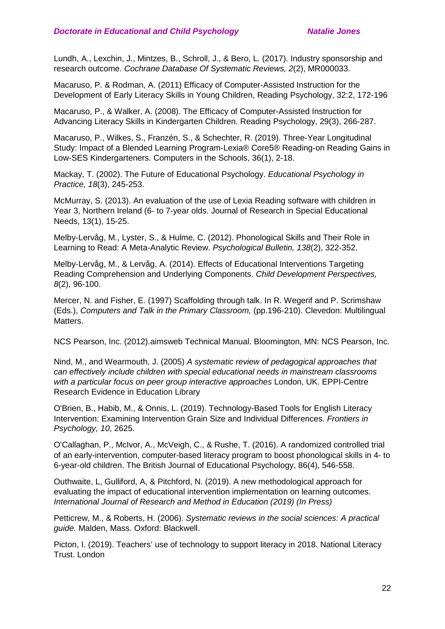Lundh, A., Lexchin, J., Mintzes, B., Schroll, J., & Bero, L. (2017). Industry sponsorship and research outcome. *Cochrane Database Of Systematic Reviews, 2*(2), MR000033.

Macaruso, P. & Rodman, A. (2011) Efficacy of Computer-Assisted Instruction for the Development of Early Literacy Skills in Young Children, Reading Psychology, 32:2, 172-196

Macaruso, P., & Walker, A. (2008). The Efficacy of Computer-Assisted Instruction for Advancing Literacy Skills in Kindergarten Children. Reading Psychology, 29(3), 266-287.

Macaruso, P., Wilkes, S., Franzén, S., & Schechter, R. (2019). Three-Year Longitudinal Study: Impact of a Blended Learning Program-Lexia® Core5® Reading-on Reading Gains in Low-SES Kindergarteners. Computers in the Schools, 36(1), 2-18.

Mackay, T. (2002). The Future of Educational Psychology. *Educational Psychology in Practice, 18*(3), 245-253.

McMurray, S. (2013). An evaluation of the use of Lexia Reading software with children in Year 3, Northern Ireland (6‐ to 7‐year olds. Journal of Research in Special Educational Needs, 13(1), 15-25.

Melby-Lervåg, M., Lyster, S., & Hulme, C. (2012). Phonological Skills and Their Role in Learning to Read: A Meta-Analytic Review. *Psychological Bulletin, 138*(2), 322-352.

Melby‐Lervåg, M., & Lervåg, A. (2014). Effects of Educational Interventions Targeting Reading Comprehension and Underlying Components. *Child Development Perspectives, 8*(2), 96-100.

Mercer, N. and Fisher, E. (1997) Scaffolding through talk. In R. Wegerif and P. Scrimshaw (Eds.), *Computers and Talk in the Primary Classroom,* (pp.196-210). Clevedon: Multilingual Matters.

NCS Pearson, Inc. (2012).aimsweb Technical Manual. Bloomington, MN: NCS Pearson, Inc.

Nind, M., and Wearmouth, J. (2005) *A systematic review of pedagogical approaches that can effectively include children with special educational needs in mainstream classrooms with a particular focus on peer group interactive approaches* London, UK. EPPI-Centre Research Evidence in Education Library

O'Brien, B., Habib, M., & Onnis, L. (2019). Technology-Based Tools for English Literacy Intervention: Examining Intervention Grain Size and Individual Differences. *Frontiers in Psychology, 10*, 2625.

O'Callaghan, P., McIvor, A., McVeigh, C., & Rushe, T. (2016). A randomized controlled trial of an early-intervention, computer-based literacy program to boost phonological skills in 4- to 6-year-old children. The British Journal of Educational Psychology, 86(4), 546-558.

Outhwaite, L, Gulliford, A, & Pitchford, N. (2019). A new methodological approach for evaluating the impact of educational intervention implementation on learning outcomes. *International Journal of Research and Method in Education (2019) (In Press)*

Petticrew, M., & Roberts, H. (2006). *Systematic reviews in the social sciences: A practical guide.* Malden, Mass. Oxford: Blackwell.

Picton, I. (2019). Teachers' use of technology to support literacy in 2018. National Literacy Trust. London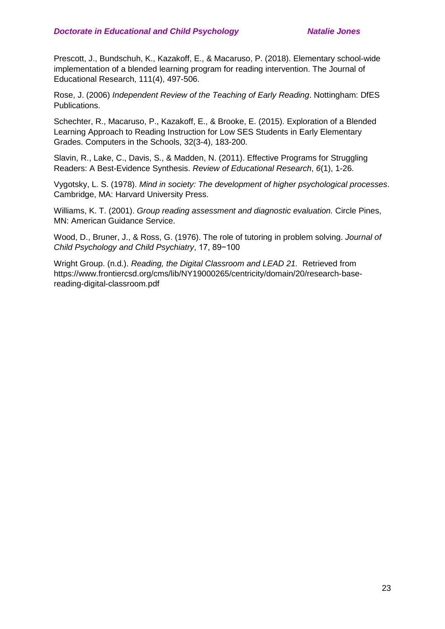Prescott, J., Bundschuh, K., Kazakoff, E., & Macaruso, P. (2018). Elementary school-wide implementation of a blended learning program for reading intervention. The Journal of Educational Research, 111(4), 497-506.

Rose, J. (2006) *Independent Review of the Teaching of Early Reading*. Nottingham: DfES Publications.

Schechter, R., Macaruso, P., Kazakoff, E., & Brooke, E. (2015). Exploration of a Blended Learning Approach to Reading Instruction for Low SES Students in Early Elementary Grades. Computers in the Schools, 32(3-4), 183-200.

Slavin, R., Lake, C., Davis, S., & Madden, N. (2011). Effective Programs for Struggling Readers: A Best-Evidence Synthesis. *Review of Educational Research*, *6*(1), 1-26.

Vygotsky, L. S. (1978). *Mind in society: The development of higher psychological processes*. Cambridge, MA: Harvard University Press.

Williams, K. T. (2001). *Group reading assessment and diagnostic evaluation.* Circle Pines, MN: American Guidance Service.

Wood, D., Bruner, J., & Ross, G. (1976). The role of tutoring in problem solving. *Journal of Child Psychology and Child Psychiatry*, 17, 89−100

Wright Group. (n.d.). *Reading, the Digital Classroom and LEAD 21.* Retrieved from https://www.frontiercsd.org/cms/lib/NY19000265/centricity/domain/20/research-basereading-digital-classroom.pdf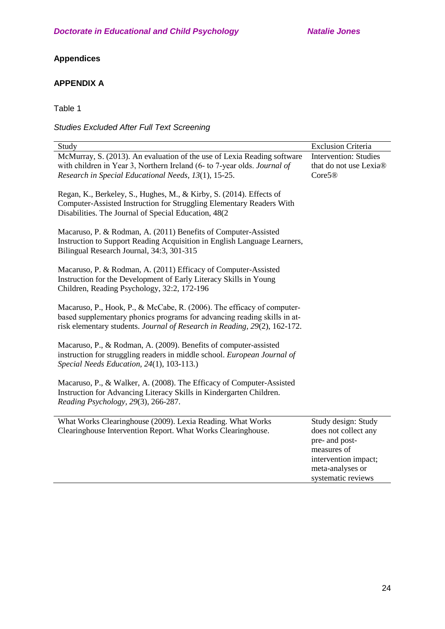# **Appendices**

# **APPENDIX A**

Table 1

*Studies Excluded After Full Text Screening*

| Study                                                                                                                                                                                                                           | <b>Exclusion Criteria</b>                                                                                                                      |
|---------------------------------------------------------------------------------------------------------------------------------------------------------------------------------------------------------------------------------|------------------------------------------------------------------------------------------------------------------------------------------------|
| McMurray, S. (2013). An evaluation of the use of Lexia Reading software<br>with children in Year 3, Northern Ireland (6- to 7-year olds. Journal of<br>Research in Special Educational Needs, 13(1), 15-25.                     | <b>Intervention: Studies</b><br>that do not use Lexia®<br>Core5 <sup>®</sup>                                                                   |
| Regan, K., Berkeley, S., Hughes, M., & Kirby, S. (2014). Effects of<br>Computer-Assisted Instruction for Struggling Elementary Readers With<br>Disabilities. The Journal of Special Education, 48(2)                            |                                                                                                                                                |
| Macaruso, P. & Rodman, A. (2011) Benefits of Computer-Assisted<br>Instruction to Support Reading Acquisition in English Language Learners,<br>Bilingual Research Journal, 34:3, 301-315                                         |                                                                                                                                                |
| Macaruso, P. & Rodman, A. (2011) Efficacy of Computer-Assisted<br>Instruction for the Development of Early Literacy Skills in Young<br>Children, Reading Psychology, 32:2, 172-196                                              |                                                                                                                                                |
| Macaruso, P., Hook, P., & McCabe, R. (2006). The efficacy of computer-<br>based supplementary phonics programs for advancing reading skills in at-<br>risk elementary students. Journal of Research in Reading, 29(2), 162-172. |                                                                                                                                                |
| Macaruso, P., & Rodman, A. (2009). Benefits of computer-assisted<br>instruction for struggling readers in middle school. European Journal of<br>Special Needs Education, 24(1), 103-113.)                                       |                                                                                                                                                |
| Macaruso, P., & Walker, A. (2008). The Efficacy of Computer-Assisted<br>Instruction for Advancing Literacy Skills in Kindergarten Children.<br>Reading Psychology, 29(3), 266-287.                                              |                                                                                                                                                |
| What Works Clearinghouse (2009). Lexia Reading. What Works<br>Clearinghouse Intervention Report. What Works Clearinghouse.                                                                                                      | Study design: Study<br>does not collect any<br>pre- and post-<br>measures of<br>intervention impact;<br>meta-analyses or<br>systematic reviews |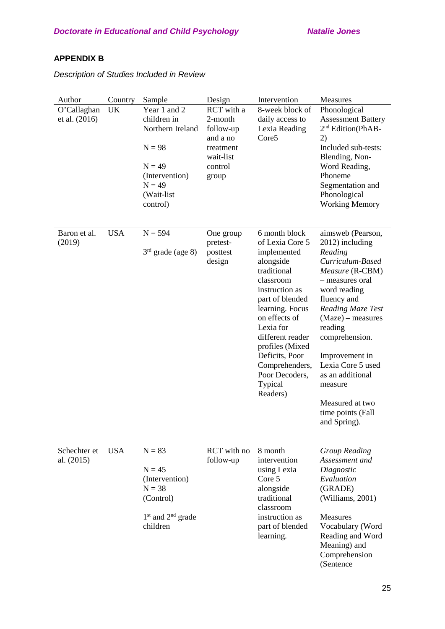# **APPENDIX B**

*Description of Studies Included in Review*

| Author<br>O'Callaghan<br>et al. (2016) | Country<br>UK | Sample<br>Year 1 and 2<br>children in<br>Northern Ireland<br>$N = 98$<br>$N = 49$<br>(Intervention)<br>$N = 49$<br>(Wait-list<br>control) | Design<br>RCT with a<br>2-month<br>follow-up<br>and a no<br>treatment<br>wait-list<br>control<br>group | Intervention<br>8-week block of<br>daily access to<br>Lexia Reading<br>Core5                                                                                                                                                                                                                       | Measures<br>Phonological<br><b>Assessment Battery</b><br>2 <sup>nd</sup> Edition(PhAB-<br>2)<br>Included sub-tests:<br>Blending, Non-<br>Word Reading,<br>Phoneme<br>Segmentation and<br>Phonological<br><b>Working Memory</b>                                                                                                                  |
|----------------------------------------|---------------|-------------------------------------------------------------------------------------------------------------------------------------------|--------------------------------------------------------------------------------------------------------|----------------------------------------------------------------------------------------------------------------------------------------------------------------------------------------------------------------------------------------------------------------------------------------------------|-------------------------------------------------------------------------------------------------------------------------------------------------------------------------------------------------------------------------------------------------------------------------------------------------------------------------------------------------|
| Baron et al.<br>(2019)                 | <b>USA</b>    | $N = 594$<br>$3rd$ grade (age 8)                                                                                                          | One group<br>pretest-<br>posttest<br>design                                                            | 6 month block<br>of Lexia Core 5<br>implemented<br>alongside<br>traditional<br>classroom<br>instruction as<br>part of blended<br>learning. Focus<br>on effects of<br>Lexia for<br>different reader<br>profiles (Mixed<br>Deficits, Poor<br>Comprehenders,<br>Poor Decoders,<br>Typical<br>Readers) | aimsweb (Pearson,<br>2012) including<br>Reading<br>Curriculum-Based<br>Measure (R-CBM)<br>- measures oral<br>word reading<br>fluency and<br>Reading Maze Test<br>$(Maze)$ – measures<br>reading<br>comprehension.<br>Improvement in<br>Lexia Core 5 used<br>as an additional<br>measure<br>Measured at two<br>time points (Fall<br>and Spring). |
| Schechter et<br>al. (2015)             | <b>USA</b>    | $N = 83$<br>$N = 45$<br>(Intervention)<br>$N = 38$<br>(Control)<br>$1st$ and $2nd$ grade<br>children                                      | RCT with no<br>follow-up                                                                               | 8 month<br>intervention<br>using Lexia<br>Core 5<br>alongside<br>traditional<br>classroom<br>instruction as<br>part of blended<br>learning.                                                                                                                                                        | <b>Group Reading</b><br>Assessment and<br>Diagnostic<br>Evaluation<br>(GRADE)<br>(Williams, 2001)<br><b>Measures</b><br>Vocabulary (Word<br>Reading and Word<br>Meaning) and<br>Comprehension<br>(Sentence                                                                                                                                      |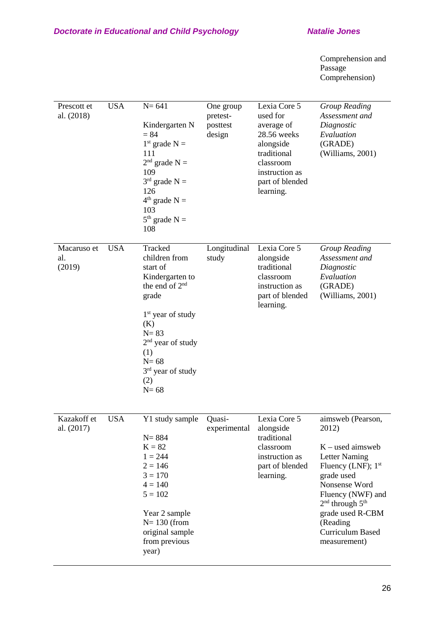Comprehension and Passage Comprehension)

| Prescott et<br>al. (2018)    | <b>USA</b> | $N = 641$<br>Kindergarten N<br>$= 84$<br>$1st$ grade N =<br>111<br>$2nd$ grade N =<br>109<br>$3^{rd}$ grade N =<br>126<br>$4th$ grade N =<br>103<br>$5th$ grade N =<br>108                                               | One group<br>pretest-<br>posttest<br>design | Lexia Core 5<br>used for<br>average of<br>28.56 weeks<br>alongside<br>traditional<br>classroom<br>instruction as<br>part of blended<br>learning. | <b>Group Reading</b><br>Assessment and<br>Diagnostic<br>Evaluation<br>(GRADE)<br>(Williams, 2001)                                                                                                                                                                |
|------------------------------|------------|--------------------------------------------------------------------------------------------------------------------------------------------------------------------------------------------------------------------------|---------------------------------------------|--------------------------------------------------------------------------------------------------------------------------------------------------|------------------------------------------------------------------------------------------------------------------------------------------------------------------------------------------------------------------------------------------------------------------|
| Macaruso et<br>al.<br>(2019) | <b>USA</b> | Tracked<br>children from<br>start of<br>Kindergarten to<br>the end of 2 <sup>nd</sup><br>grade<br>$1st$ year of study<br>(K)<br>$N = 83$<br>$2nd$ year of study<br>(1)<br>$N=68$<br>$3rd$ year of study<br>(2)<br>$N=68$ | Longitudinal<br>study                       | Lexia Core 5<br>alongside<br>traditional<br>classroom<br>instruction as<br>part of blended<br>learning.                                          | <b>Group Reading</b><br>Assessment and<br>Diagnostic<br>Evaluation<br>(GRADE)<br>(Williams, 2001)                                                                                                                                                                |
| Kazakoff et<br>al. (2017)    | <b>USA</b> | Y1 study sample<br>$N = 884$<br>$K = 82$<br>$1 = 244$<br>$2 = 146$<br>$3 = 170$<br>$4 = 140$<br>$5 = 102$<br>Year 2 sample<br>$N=130$ (from<br>original sample<br>from previous<br>year)                                 | Quasi-<br>experimental                      | Lexia Core 5<br>alongside<br>traditional<br>classroom<br>instruction as<br>part of blended<br>learning.                                          | aimsweb (Pearson,<br>2012)<br>$K$ – used aimsweb<br><b>Letter Naming</b><br>Fluency (LNF); 1 <sup>st</sup><br>grade used<br>Nonsense Word<br>Fluency (NWF) and<br>$2nd$ through $5th$<br>grade used R-CBM<br>(Reading<br><b>Curriculum Based</b><br>measurement) |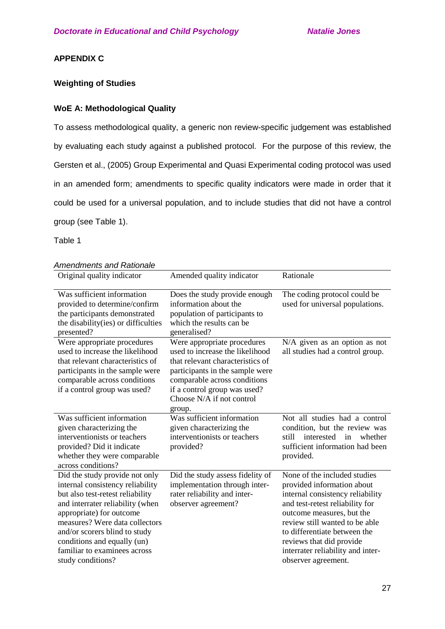# **APPENDIX C**

# **Weighting of Studies**

# **WoE A: Methodological Quality**

To assess methodological quality, a generic non review-specific judgement was established by evaluating each study against a published protocol. For the purpose of this review, the Gersten et al., (2005) Group Experimental and Quasi Experimental coding protocol was used in an amended form; amendments to specific quality indicators were made in order that it could be used for a universal population, and to include studies that did not have a control group (see Table 1).

Table 1

| Amendments and Rationale                                                                                                                                                                                                                                                                                                      |                                                                                                                                                                                                                                              |                                                                                                                                                                                                                                                                                                                          |
|-------------------------------------------------------------------------------------------------------------------------------------------------------------------------------------------------------------------------------------------------------------------------------------------------------------------------------|----------------------------------------------------------------------------------------------------------------------------------------------------------------------------------------------------------------------------------------------|--------------------------------------------------------------------------------------------------------------------------------------------------------------------------------------------------------------------------------------------------------------------------------------------------------------------------|
| Original quality indicator                                                                                                                                                                                                                                                                                                    | Amended quality indicator                                                                                                                                                                                                                    | Rationale                                                                                                                                                                                                                                                                                                                |
| Was sufficient information<br>provided to determine/confirm<br>the participants demonstrated<br>the disability (ies) or difficulties<br>presented?                                                                                                                                                                            | Does the study provide enough<br>information about the<br>population of participants to<br>which the results can be<br>generalised?                                                                                                          | The coding protocol could be<br>used for universal populations.                                                                                                                                                                                                                                                          |
| Were appropriate procedures<br>used to increase the likelihood<br>that relevant characteristics of<br>participants in the sample were<br>comparable across conditions<br>if a control group was used?                                                                                                                         | Were appropriate procedures<br>used to increase the likelihood<br>that relevant characteristics of<br>participants in the sample were<br>comparable across conditions<br>if a control group was used?<br>Choose N/A if not control<br>group. | N/A given as an option as not<br>all studies had a control group.                                                                                                                                                                                                                                                        |
| Was sufficient information<br>given characterizing the<br>interventionists or teachers<br>provided? Did it indicate<br>whether they were comparable<br>across conditions?                                                                                                                                                     | $\overline{W}$ as sufficient information<br>given characterizing the<br>interventionists or teachers<br>provided?                                                                                                                            | Not all studies had a control<br>condition, but the review was<br>still<br>interested<br>whether<br>in<br>sufficient information had been<br>provided.                                                                                                                                                                   |
| Did the study provide not only<br>internal consistency reliability<br>but also test-retest reliability<br>and interrater reliability (when<br>appropriate) for outcome<br>measures? Were data collectors<br>and/or scorers blind to study<br>conditions and equally (un)<br>familiar to examinees across<br>study conditions? | Did the study assess fidelity of<br>implementation through inter-<br>rater reliability and inter-<br>observer agreement?                                                                                                                     | None of the included studies<br>provided information about<br>internal consistency reliability<br>and test-retest reliability for<br>outcome measures, but the<br>review still wanted to be able<br>to differentiate between the<br>reviews that did provide<br>interrater reliability and inter-<br>observer agreement. |

# *Amendments and Rationale*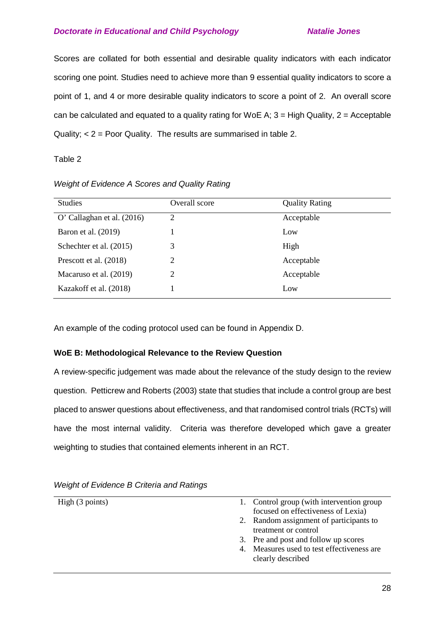Scores are collated for both essential and desirable quality indicators with each indicator scoring one point. Studies need to achieve more than 9 essential quality indicators to score a point of 1, and 4 or more desirable quality indicators to score a point of 2. An overall score can be calculated and equated to a quality rating for WoE A;  $3 =$  High Quality,  $2 =$  Acceptable Quality; < 2 = Poor Quality. The results are summarised in table 2.

Table 2

| <b>Studies</b>               | Overall score  | <b>Quality Rating</b> |
|------------------------------|----------------|-----------------------|
| O' Callaghan et al. $(2016)$ | $\overline{2}$ | Acceptable            |
| Baron et al. (2019)          |                | Low                   |
| Schechter et al. (2015)      | 3              | High                  |
| Prescott et al. (2018)       | 2              | Acceptable            |
| Macaruso et al. (2019)       | 2              | Acceptable            |
| Kazakoff et al. (2018)       |                | Low                   |
|                              |                |                       |

*Weight of Evidence A Scores and Quality Rating*

An example of the coding protocol used can be found in Appendix D.

# **WoE B: Methodological Relevance to the Review Question**

A review-specific judgement was made about the relevance of the study design to the review question. Petticrew and Roberts (2003) state that studies that include a control group are best placed to answer questions about effectiveness, and that randomised control trials (RCTs) will have the most internal validity. Criteria was therefore developed which gave a greater weighting to studies that contained elements inherent in an RCT.

| High (3 points) | 1. Control group (with intervention group  |
|-----------------|--------------------------------------------|
|                 | focused on effectiveness of Lexia)         |
|                 | 2. Random assignment of participants to    |
|                 | treatment or control                       |
|                 | 3. Pre and post and follow up scores       |
|                 | 4. Measures used to test effectiveness are |
|                 | clearly described                          |
|                 |                                            |

# *Weight of Evidence B Criteria and Ratings*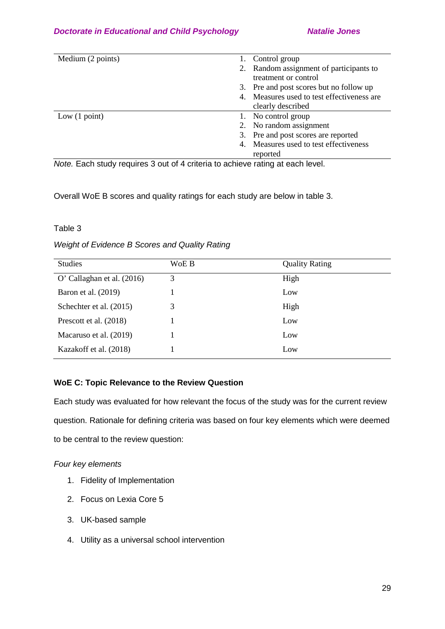| Medium (2 points)       | 1. Control group                           |
|-------------------------|--------------------------------------------|
|                         | 2. Random assignment of participants to    |
|                         | treatment or control                       |
|                         | 3. Pre and post scores but no follow up    |
|                         | 4. Measures used to test effectiveness are |
|                         | clearly described                          |
| Low $(1 \text{ point})$ | 1. No control group                        |
|                         | 2. No random assignment                    |
|                         | 3. Pre and post scores are reported        |
|                         | 4. Measures used to test effectiveness     |
|                         | reported                                   |

*Note.* Each study requires 3 out of 4 criteria to achieve rating at each level.

Overall WoE B scores and quality ratings for each study are below in table 3.

Table 3

*Weight of Evidence B Scores and Quality Rating*

| <b>Studies</b>               | WoE B | <b>Quality Rating</b> |
|------------------------------|-------|-----------------------|
| O' Callaghan et al. $(2016)$ | 3     | High                  |
| Baron et al. (2019)          |       | Low                   |
| Schechter et al. (2015)      | 3     | High                  |
| Prescott et al. (2018)       |       | Low                   |
| Macaruso et al. (2019)       |       | Low                   |
| Kazakoff et al. (2018)       |       | Low                   |

# **WoE C: Topic Relevance to the Review Question**

Each study was evaluated for how relevant the focus of the study was for the current review question. Rationale for defining criteria was based on four key elements which were deemed to be central to the review question:

# *Four key elements*

- 1. Fidelity of Implementation
- 2. Focus on Lexia Core 5
- 3. UK-based sample
- 4. Utility as a universal school intervention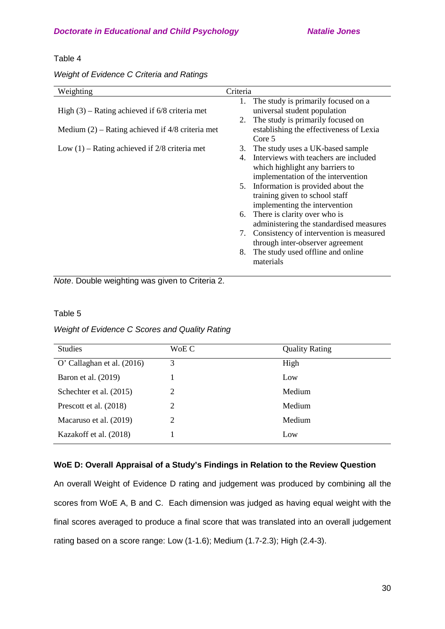## Table 4

# *Weight of Evidence C Criteria and Ratings*

| Weighting                                          | Criteria                                      |
|----------------------------------------------------|-----------------------------------------------|
|                                                    | 1. The study is primarily focused on a        |
| High $(3)$ – Rating achieved if 6/8 criteria met   | universal student population                  |
|                                                    | The study is primarily focused on<br>2.       |
| Medium $(2)$ – Rating achieved if 4/8 criteria met | establishing the effectiveness of Lexia       |
|                                                    | Core 5                                        |
| Low $(1)$ – Rating achieved if 2/8 criteria met    | The study uses a UK-based sample<br>3.        |
|                                                    | Interviews with teachers are included<br>4.   |
|                                                    | which highlight any barriers to               |
|                                                    | implementation of the intervention            |
|                                                    | Information is provided about the<br>5.       |
|                                                    | training given to school staff                |
|                                                    | implementing the intervention                 |
|                                                    | There is clarity over who is<br>6.            |
|                                                    | administering the standardised measures       |
|                                                    | Consistency of intervention is measured<br>7. |
|                                                    | through inter-observer agreement              |
|                                                    | The study used offline and online<br>8.       |
|                                                    | materials                                     |
|                                                    |                                               |

*Note*. Double weighting was given to Criteria 2.

# Table 5

# *Weight of Evidence C Scores and Quality Rating*

| <b>Studies</b>             | WoE C | <b>Quality Rating</b> |
|----------------------------|-------|-----------------------|
| O' Callaghan et al. (2016) | 3     | High                  |
| Baron et al. (2019)        |       | Low                   |
| Schechter et al. (2015)    | 2     | Medium                |
| Prescott et al. (2018)     | 2     | Medium                |
| Macaruso et al. (2019)     | 2     | Medium                |
| Kazakoff et al. (2018)     |       | Low                   |
|                            |       |                       |

# **WoE D: Overall Appraisal of a Study's Findings in Relation to the Review Question**

An overall Weight of Evidence D rating and judgement was produced by combining all the scores from WoE A, B and C. Each dimension was judged as having equal weight with the final scores averaged to produce a final score that was translated into an overall judgement rating based on a score range: Low (1-1.6); Medium (1.7-2.3); High (2.4-3).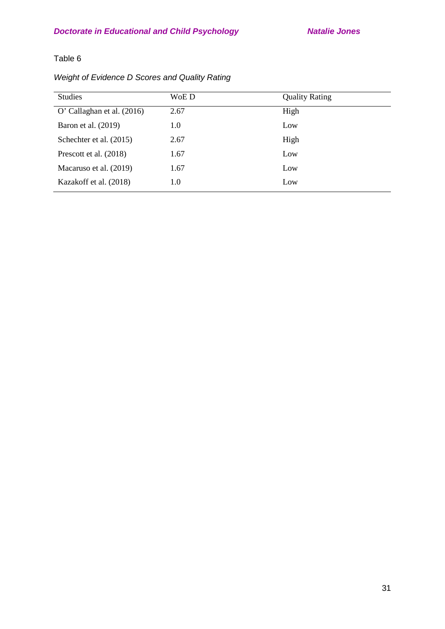# Table 6

| Weight of Evidence D Scores and Quality Rating |  |  |
|------------------------------------------------|--|--|
|------------------------------------------------|--|--|

| <b>Studies</b>               | WoE D | <b>Quality Rating</b> |
|------------------------------|-------|-----------------------|
| O' Callaghan et al. $(2016)$ | 2.67  | High                  |
| Baron et al. (2019)          | 1.0   | Low                   |
| Schechter et al. (2015)      | 2.67  | High                  |
| Prescott et al. (2018)       | 1.67  | Low                   |
| Macaruso et al. (2019)       | 1.67  | Low                   |
| Kazakoff et al. (2018)       | 1.0   | Low                   |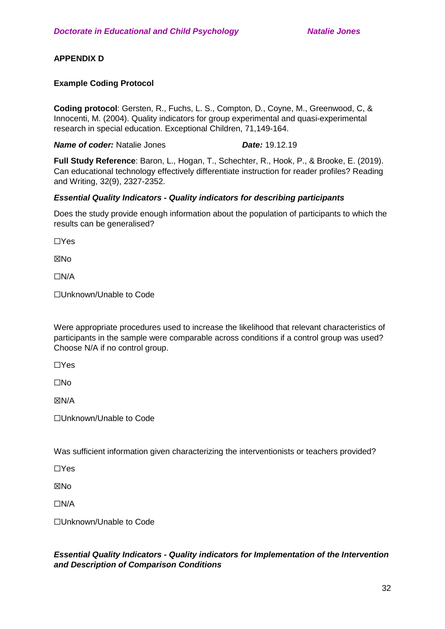# **APPENDIX D**

# **Example Coding Protocol**

**Coding protocol**: Gersten, R., Fuchs, L. S., Compton, D., Coyne, M., Greenwood, C, & Innocenti, M. (2004). Quality indicators for group experimental and quasi-experimental research in special education. Exceptional Children, 71,149-164.

**Name of coder:** Natalie Jones *Date:* **19.12.19** 

**Full Study Reference**: Baron, L., Hogan, T., Schechter, R., Hook, P., & Brooke, E. (2019). Can educational technology effectively differentiate instruction for reader profiles? Reading and Writing, 32(9), 2327-2352.

# *Essential Quality Indicators - Quality indicators for describing participants*

Does the study provide enough information about the population of participants to which the results can be generalised?

☐Yes

**XNo** 

 $\Box$ N/A

☐Unknown/Unable to Code

Were appropriate procedures used to increase the likelihood that relevant characteristics of participants in the sample were comparable across conditions if a control group was used? Choose N/A if no control group.

☐Yes

☐No

☒N/A

☐Unknown/Unable to Code

Was sufficient information given characterizing the interventionists or teachers provided?

☐Yes

**XNo** 

 $\Box N/A$ 

☐Unknown/Unable to Code

# *Essential Quality Indicators - Quality indicators for Implementation of the Intervention and Description of Comparison Conditions*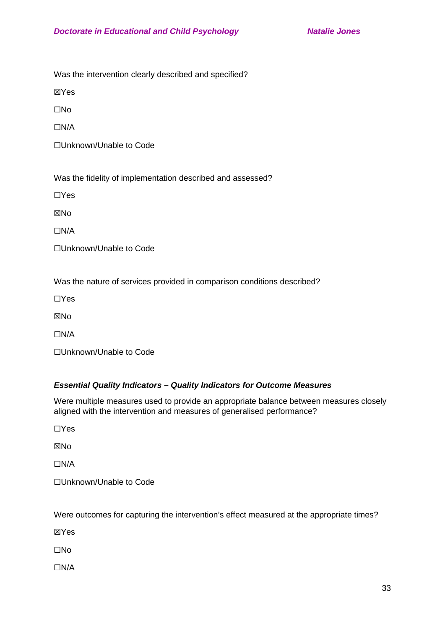Was the intervention clearly described and specified?

☒Yes

☐No

☐N/A

☐Unknown/Unable to Code

Was the fidelity of implementation described and assessed?

☐Yes

☒No

☐N/A

☐Unknown/Unable to Code

Was the nature of services provided in comparison conditions described?

☐Yes

**XNo** 

☐N/A

☐Unknown/Unable to Code

# *Essential Quality Indicators – Quality Indicators for Outcome Measures*

Were multiple measures used to provide an appropriate balance between measures closely aligned with the intervention and measures of generalised performance?

☐Yes

☒No

☐N/A

☐Unknown/Unable to Code

Were outcomes for capturing the intervention's effect measured at the appropriate times?

☒Yes

☐No

☐N/A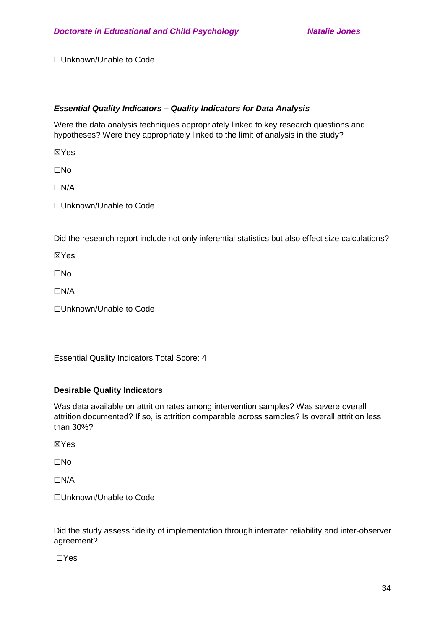☐Unknown/Unable to Code

# *Essential Quality Indicators – Quality Indicators for Data Analysis*

Were the data analysis techniques appropriately linked to key research questions and hypotheses? Were they appropriately linked to the limit of analysis in the study?

☒Yes

☐No

☐N/A

☐Unknown/Unable to Code

Did the research report include not only inferential statistics but also effect size calculations?

☒Yes

☐No

☐N/A

☐Unknown/Unable to Code

Essential Quality Indicators Total Score: 4

# **Desirable Quality Indicators**

Was data available on attrition rates among intervention samples? Was severe overall attrition documented? If so, is attrition comparable across samples? Is overall attrition less than 30%?

☒Yes

☐No

☐N/A

☐Unknown/Unable to Code

Did the study assess fidelity of implementation through interrater reliability and inter-observer agreement?

☐Yes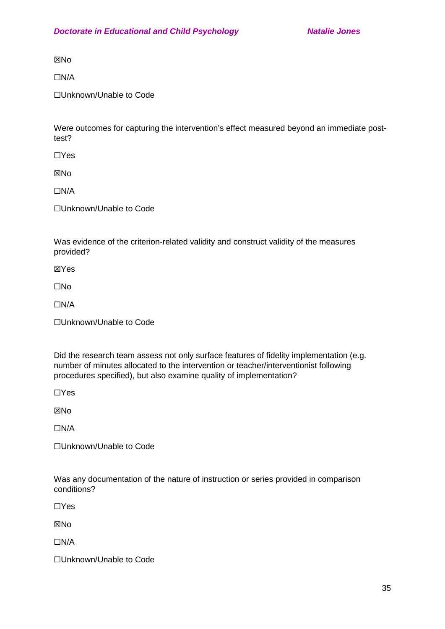⊠No

☐N/A

☐Unknown/Unable to Code

Were outcomes for capturing the intervention's effect measured beyond an immediate posttest?

☐Yes

☒No

☐N/A

☐Unknown/Unable to Code

Was evidence of the criterion-related validity and construct validity of the measures provided?

☒Yes

☐No

☐N/A

☐Unknown/Unable to Code

Did the research team assess not only surface features of fidelity implementation (e.g. number of minutes allocated to the intervention or teacher/interventionist following procedures specified), but also examine quality of implementation?

☐Yes

☒No

 $\Box$ N/A

☐Unknown/Unable to Code

Was any documentation of the nature of instruction or series provided in comparison conditions?

☐Yes

☒No

☐N/A

☐Unknown/Unable to Code